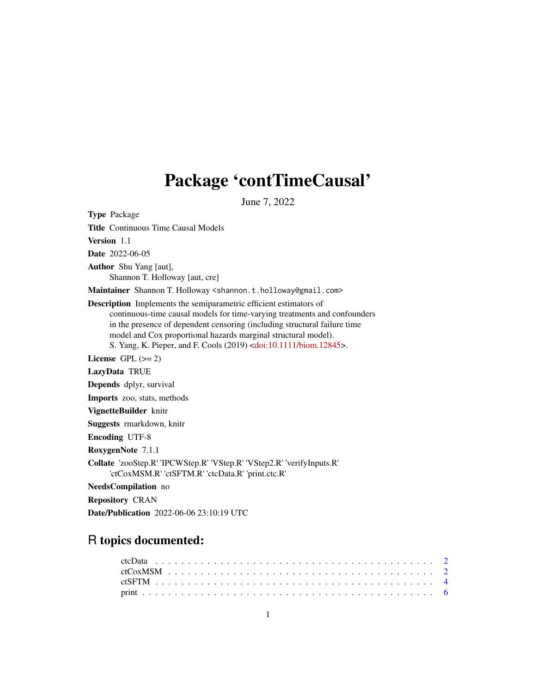# Package 'contTimeCausal'

June 7, 2022

Type Package Title Continuous Time Causal Models Version 1.1 Date 2022-06-05 Author Shu Yang [aut], Shannon T. Holloway [aut, cre] Maintainer Shannon T. Holloway <shannon.t.holloway@gmail.com> Description Implements the semiparametric efficient estimators of continuous-time causal models for time-varying treatments and confounders in the presence of dependent censoring (including structural failure time model and Cox proportional hazards marginal structural model). S. Yang, K. Pieper, and F. Cools (2019) [<doi:10.1111/biom.12845>](https://doi.org/10.1111/biom.12845). License GPL  $(>= 2)$ LazyData TRUE Depends dplyr, survival Imports zoo, stats, methods VignetteBuilder knitr Suggests rmarkdown, knitr Encoding UTF-8 RoxygenNote 7.1.1 Collate 'zooStep.R' 'IPCWStep.R' 'VStep.R' 'VStep2.R' 'verifyInputs.R' 'ctCoxMSM.R' 'ctSFTM.R' 'ctcData.R' 'print.ctc.R' NeedsCompilation no

Repository CRAN

Date/Publication 2022-06-06 23:10:19 UTC

## R topics documented: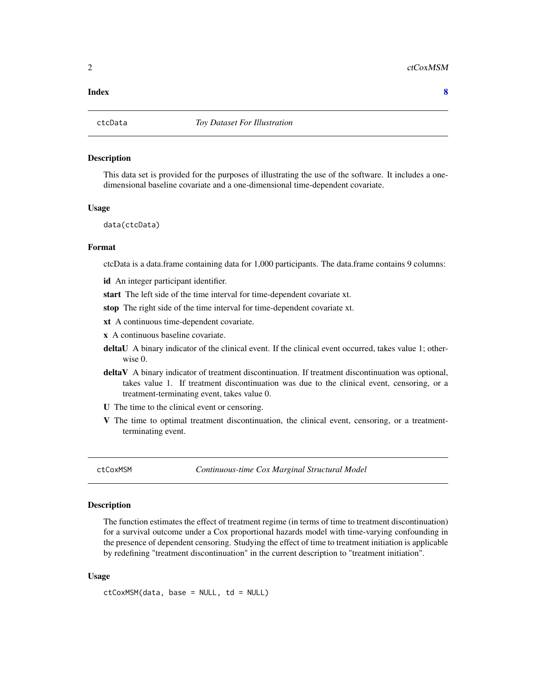#### <span id="page-1-0"></span>**Index** [8](#page-7-0) **8**

#### Description

This data set is provided for the purposes of illustrating the use of the software. It includes a onedimensional baseline covariate and a one-dimensional time-dependent covariate.

#### Usage

data(ctcData)

#### Format

ctcData is a data.frame containing data for 1,000 participants. The data.frame contains 9 columns:

id An integer participant identifier.

start The left side of the time interval for time-dependent covariate xt.

stop The right side of the time interval for time-dependent covariate xt.

xt A continuous time-dependent covariate.

x A continuous baseline covariate.

- deltaU A binary indicator of the clinical event. If the clinical event occurred, takes value 1; otherwise 0.
- deltaV A binary indicator of treatment discontinuation. If treatment discontinuation was optional, takes value 1. If treatment discontinuation was due to the clinical event, censoring, or a treatment-terminating event, takes value 0.
- U The time to the clinical event or censoring.
- V The time to optimal treatment discontinuation, the clinical event, censoring, or a treatmentterminating event.

<span id="page-1-1"></span>ctCoxMSM *Continuous-time Cox Marginal Structural Model*

#### **Description**

The function estimates the effect of treatment regime (in terms of time to treatment discontinuation) for a survival outcome under a Cox proportional hazards model with time-varying confounding in the presence of dependent censoring. Studying the effect of time to treatment initiation is applicable by redefining "treatment discontinuation" in the current description to "treatment initiation".

#### Usage

ctCoxMSM(data, base = NULL, td = NULL)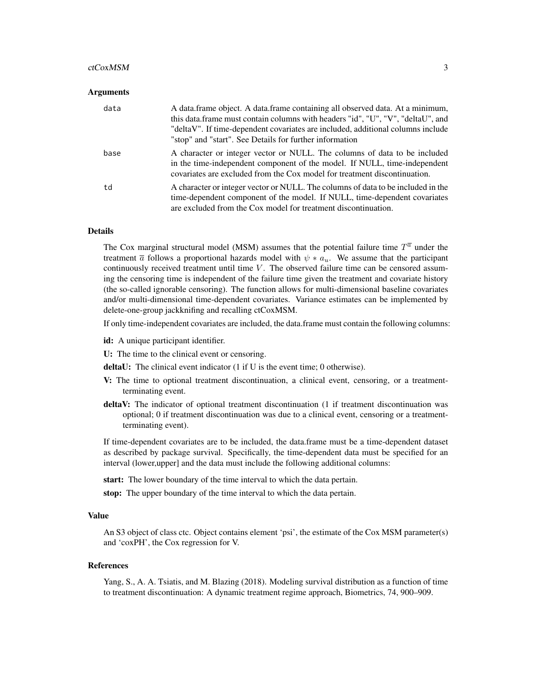#### ctCoxMSM 3

#### Arguments

| data | A data frame object. A data frame containing all observed data. At a minimum,<br>this data.frame must contain columns with headers "id", "U", "V", "deltaU", and<br>"deltaV". If time-dependent covariates are included, additional columns include<br>"stop" and "start". See Details for further information |
|------|----------------------------------------------------------------------------------------------------------------------------------------------------------------------------------------------------------------------------------------------------------------------------------------------------------------|
| base | A character or integer vector or NULL. The columns of data to be included<br>in the time-independent component of the model. If NULL, time-independent<br>covariates are excluded from the Cox model for treatment discontinuation.                                                                            |
| td   | A character or integer vector or NULL. The columns of data to be included in the<br>time-dependent component of the model. If NULL, time-dependent covariates<br>are excluded from the Cox model for treatment discontinuation.                                                                                |

#### Details

The Cox marginal structural model (MSM) assumes that the potential failure time  $T^{\overline{a}}$  under the treatment  $\bar{a}$  follows a proportional hazards model with  $\psi * a_u$ . We assume that the participant continuously received treatment until time  $V$ . The observed failure time can be censored assuming the censoring time is independent of the failure time given the treatment and covariate history (the so-called ignorable censoring). The function allows for multi-dimensional baseline covariates and/or multi-dimensional time-dependent covariates. Variance estimates can be implemented by delete-one-group jackknifing and recalling ctCoxMSM.

If only time-independent covariates are included, the data.frame must contain the following columns:

id: A unique participant identifier.

U: The time to the clinical event or censoring.

deltaU: The clinical event indicator (1 if U is the event time; 0 otherwise).

- V: The time to optional treatment discontinuation, a clinical event, censoring, or a treatmentterminating event.
- deltaV: The indicator of optional treatment discontinuation (1 if treatment discontinuation was optional; 0 if treatment discontinuation was due to a clinical event, censoring or a treatmentterminating event).

If time-dependent covariates are to be included, the data.frame must be a time-dependent dataset as described by package survival. Specifically, the time-dependent data must be specified for an interval (lower,upper] and the data must include the following additional columns:

start: The lower boundary of the time interval to which the data pertain.

stop: The upper boundary of the time interval to which the data pertain.

#### Value

An S3 object of class ctc. Object contains element 'psi', the estimate of the Cox MSM parameter(s) and 'coxPH', the Cox regression for V.

#### References

Yang, S., A. A. Tsiatis, and M. Blazing (2018). Modeling survival distribution as a function of time to treatment discontinuation: A dynamic treatment regime approach, Biometrics, 74, 900–909.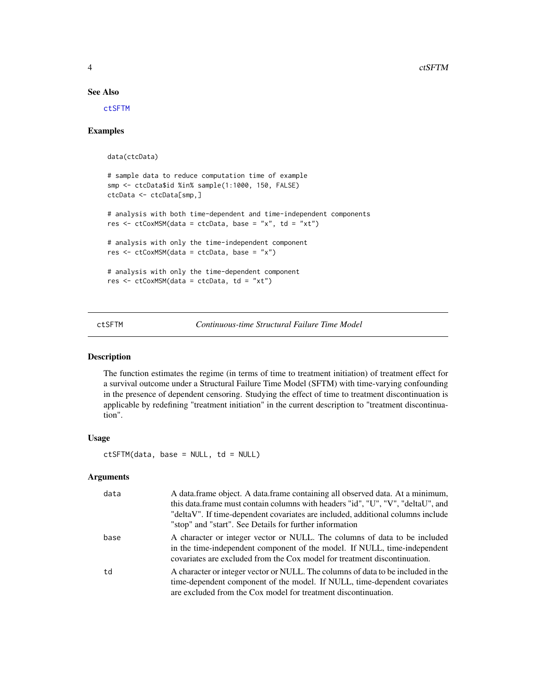#### See Also

[ctSFTM](#page-3-1)

#### Examples

```
data(ctcData)
# sample data to reduce computation time of example
smp <- ctcData$id %in% sample(1:1000, 150, FALSE)
ctcData <- ctcData[smp,]
# analysis with both time-dependent and time-independent components
res \le ctCoxMSM(data = ctcData, base = "x", td = "xt")
# analysis with only the time-independent component
res <- ctCoxMSM(data = ctcData, base = "x")
# analysis with only the time-dependent component
res <- ctCoxMSM(data = ctcData, td = "xt")
```
<span id="page-3-1"></span>ctSFTM *Continuous-time Structural Failure Time Model*

#### Description

The function estimates the regime (in terms of time to treatment initiation) of treatment effect for a survival outcome under a Structural Failure Time Model (SFTM) with time-varying confounding in the presence of dependent censoring. Studying the effect of time to treatment discontinuation is applicable by redefining "treatment initiation" in the current description to "treatment discontinuation".

#### Usage

 $ctSFTM(data, base = NULL, td = NULL)$ 

#### Arguments

| data | A data.frame object. A data.frame containing all observed data. At a minimum,<br>this data.frame must contain columns with headers "id", "U", "V", "deltaU", and<br>"deltaV". If time-dependent covariates are included, additional columns include<br>"stop" and "start". See Details for further information |
|------|----------------------------------------------------------------------------------------------------------------------------------------------------------------------------------------------------------------------------------------------------------------------------------------------------------------|
| base | A character or integer vector or NULL. The columns of data to be included<br>in the time-independent component of the model. If NULL, time-independent<br>covariates are excluded from the Cox model for treatment discontinuation.                                                                            |
| td   | A character or integer vector or NULL. The columns of data to be included in the<br>time-dependent component of the model. If NULL, time-dependent covariates<br>are excluded from the Cox model for treatment discontinuation.                                                                                |

<span id="page-3-0"></span>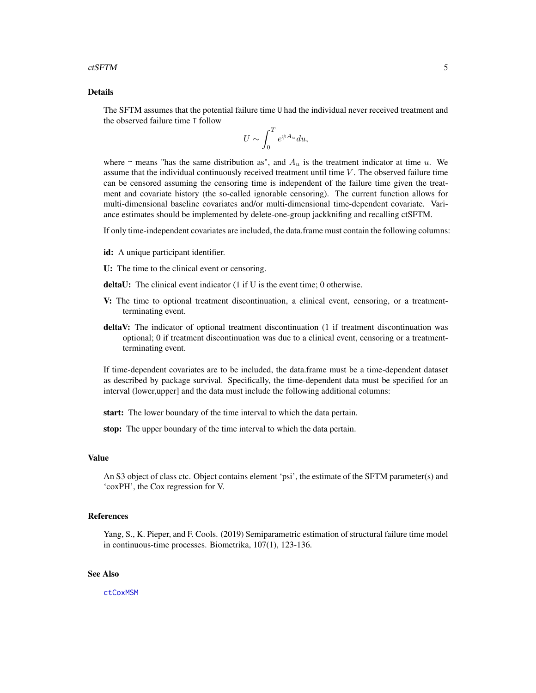#### <span id="page-4-0"></span>ctSFTM 5

#### Details

The SFTM assumes that the potential failure time U had the individual never received treatment and the observed failure time T follow

$$
U \sim \int_0^T e^{\psi A_u} du,
$$

where  $\sim$  means "has the same distribution as", and  $A_u$  is the treatment indicator at time u. We assume that the individual continuously received treatment until time  $V$ . The observed failure time can be censored assuming the censoring time is independent of the failure time given the treatment and covariate history (the so-called ignorable censoring). The current function allows for multi-dimensional baseline covariates and/or multi-dimensional time-dependent covariate. Variance estimates should be implemented by delete-one-group jackknifing and recalling ctSFTM.

If only time-independent covariates are included, the data.frame must contain the following columns:

- id: A unique participant identifier.
- U: The time to the clinical event or censoring.
- deltaU: The clinical event indicator (1 if U is the event time; 0 otherwise.
- V: The time to optional treatment discontinuation, a clinical event, censoring, or a treatmentterminating event.
- deltaV: The indicator of optional treatment discontinuation (1 if treatment discontinuation was optional; 0 if treatment discontinuation was due to a clinical event, censoring or a treatmentterminating event.

If time-dependent covariates are to be included, the data.frame must be a time-dependent dataset as described by package survival. Specifically, the time-dependent data must be specified for an interval (lower,upper] and the data must include the following additional columns:

start: The lower boundary of the time interval to which the data pertain.

stop: The upper boundary of the time interval to which the data pertain.

#### Value

An S3 object of class ctc. Object contains element 'psi', the estimate of the SFTM parameter(s) and 'coxPH', the Cox regression for V.

#### References

Yang, S., K. Pieper, and F. Cools. (2019) Semiparametric estimation of structural failure time model in continuous-time processes. Biometrika, 107(1), 123-136.

#### See Also

[ctCoxMSM](#page-1-1)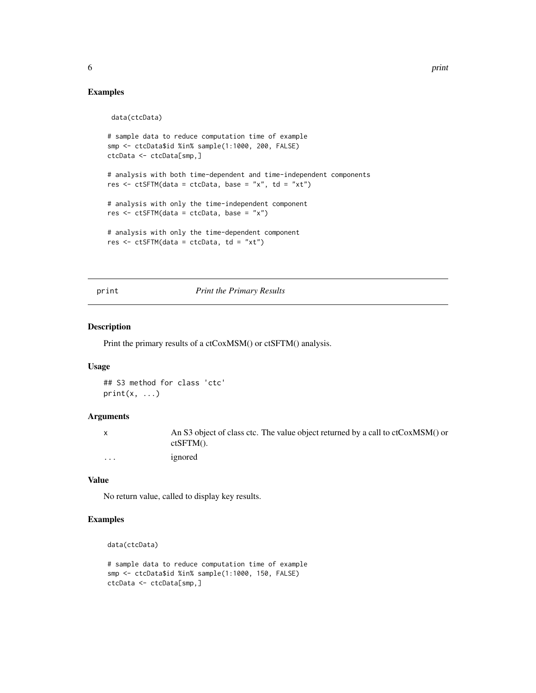### Examples

data(ctcData)

```
# sample data to reduce computation time of example
smp <- ctcData$id %in% sample(1:1000, 200, FALSE)
ctcData <- ctcData[smp,]
# analysis with both time-dependent and time-independent components
res \le ctSFTM(data = ctcData, base = "x", td = "xt")
# analysis with only the time-independent component
res <- ctSFTM(data = ctcData, base = "x")
# analysis with only the time-dependent component
res <- ctSFTM(data = ctcData, td = "xt")
```
print *Print the Primary Results*

#### Description

Print the primary results of a ctCoxMSM() or ctSFTM() analysis.

#### Usage

```
## S3 method for class 'ctc'
print(x, \ldots)
```
#### Arguments

|          | An S3 object of class ctc. The value object returned by a call to ctCoxMSM() or |
|----------|---------------------------------------------------------------------------------|
|          | $ctSFTM()$ .                                                                    |
| $\cdots$ | ignored                                                                         |

#### Value

No return value, called to display key results.

#### Examples

```
data(ctcData)
```

```
# sample data to reduce computation time of example
smp <- ctcData$id %in% sample(1:1000, 150, FALSE)
ctcData <- ctcData[smp,]
```
<span id="page-5-0"></span>6 print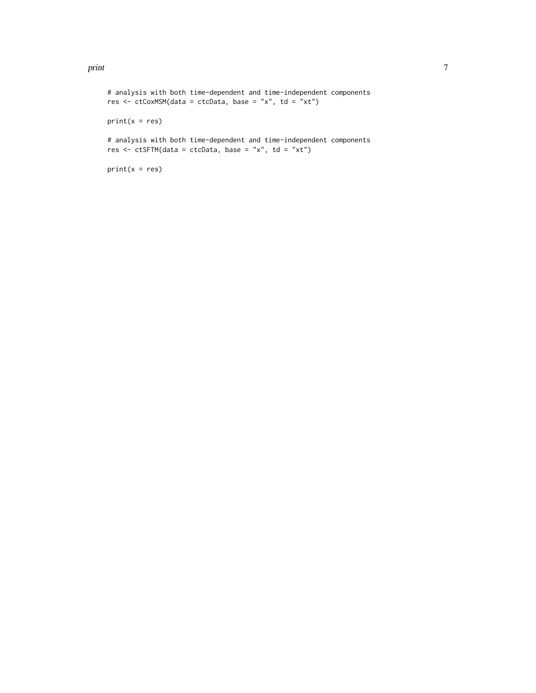#### print the contract of the contract of the contract of the contract of the contract of the contract of the contract of the contract of the contract of the contract of the contract of the contract of the contract of the cont

```
# analysis with both time-dependent and time-independent components
res <- ctCoxMSM(data = ctcData, base = "x", td = "xt")
print(x = res)# analysis with both time-dependent and time-independent components
res \le ctSFTM(data = ctcData, base = "x", td = "xt")
print(x = res)
```